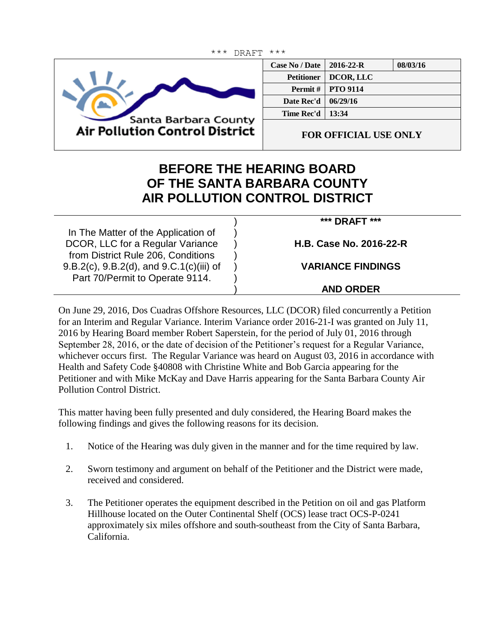

Ξ

| <b>Case No / Date</b> | $2016 - 22 - R$            | 08/03/16 |
|-----------------------|----------------------------|----------|
| <b>Petitioner</b>     | DCOR, LLC                  |          |
|                       | <b>Permit #   PTO 9114</b> |          |
| Date Rec'd            | 06/29/16                   |          |
| <b>Time Rec'd</b>     | 13:34                      |          |
|                       |                            |          |

**FOR OFFICIAL USE ONLY**

## **BEFORE THE HEARING BOARD OF THE SANTA BARBARA COUNTY AIR POLLUTION CONTROL DISTRICT**

In The Matter of the Application of DCOR, LLC for a Regular Variance from District Rule 206, Conditions 9.B.2(c), 9.B.2(d), and 9.C.1(c)(iii) of Part 70/Permit to Operate 9114. ) ) ) ) ) ) ) **\*\*\* DRAFT \*\*\* H.B. Case No. 2016-22-R VARIANCE FINDINGS AND ORDER**

On June 29, 2016, Dos Cuadras Offshore Resources, LLC (DCOR) filed concurrently a Petition for an Interim and Regular Variance. Interim Variance order 2016-21-I was granted on July 11, 2016 by Hearing Board member Robert Saperstein, for the period of July 01, 2016 through September 28, 2016, or the date of decision of the Petitioner's request for a Regular Variance, whichever occurs first. The Regular Variance was heard on August 03, 2016 in accordance with Health and Safety Code §40808 with Christine White and Bob Garcia appearing for the Petitioner and with Mike McKay and Dave Harris appearing for the Santa Barbara County Air Pollution Control District.

This matter having been fully presented and duly considered, the Hearing Board makes the following findings and gives the following reasons for its decision.

- 1. Notice of the Hearing was duly given in the manner and for the time required by law.
- 2. Sworn testimony and argument on behalf of the Petitioner and the District were made, received and considered.
- 3. The Petitioner operates the equipment described in the Petition on oil and gas Platform Hillhouse located on the Outer Continental Shelf (OCS) lease tract OCS-P-0241 approximately six miles offshore and south-southeast from the City of Santa Barbara, California.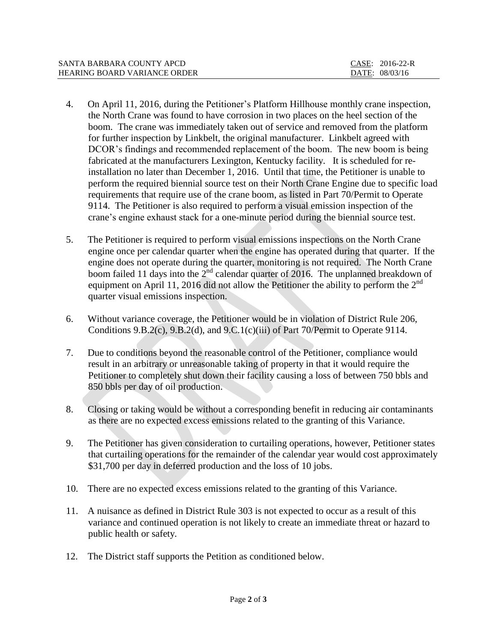| SANTA BARBARA COUNTY APCD    | CASE: 2016-22-R |  |
|------------------------------|-----------------|--|
| HEARING BOARD VARIANCE ORDER | DATE: 08/03/16  |  |

- 4. On April 11, 2016, during the Petitioner's Platform Hillhouse monthly crane inspection, the North Crane was found to have corrosion in two places on the heel section of the boom. The crane was immediately taken out of service and removed from the platform for further inspection by Linkbelt, the original manufacturer. Linkbelt agreed with DCOR's findings and recommended replacement of the boom. The new boom is being fabricated at the manufacturers Lexington, Kentucky facility. It is scheduled for reinstallation no later than December 1, 2016. Until that time, the Petitioner is unable to perform the required biennial source test on their North Crane Engine due to specific load requirements that require use of the crane boom, as listed in Part 70/Permit to Operate 9114. The Petitioner is also required to perform a visual emission inspection of the crane's engine exhaust stack for a one-minute period during the biennial source test.
- 5. The Petitioner is required to perform visual emissions inspections on the North Crane engine once per calendar quarter when the engine has operated during that quarter. If the engine does not operate during the quarter, monitoring is not required. The North Crane boom failed 11 days into the 2<sup>nd</sup> calendar quarter of 2016. The unplanned breakdown of equipment on April 11, 2016 did not allow the Petitioner the ability to perform the  $2<sup>nd</sup>$ quarter visual emissions inspection.
- 6. Without variance coverage, the Petitioner would be in violation of District Rule 206, Conditions 9.B.2(c), 9.B.2(d), and 9.C.1(c)(iii) of Part 70/Permit to Operate 9114.
- 7. Due to conditions beyond the reasonable control of the Petitioner, compliance would result in an arbitrary or unreasonable taking of property in that it would require the Petitioner to completely shut down their facility causing a loss of between 750 bbls and 850 bbls per day of oil production.
- 8. Closing or taking would be without a corresponding benefit in reducing air contaminants as there are no expected excess emissions related to the granting of this Variance.
- 9. The Petitioner has given consideration to curtailing operations, however, Petitioner states that curtailing operations for the remainder of the calendar year would cost approximately \$31,700 per day in deferred production and the loss of 10 jobs.
- 10. There are no expected excess emissions related to the granting of this Variance.
- 11. A nuisance as defined in District Rule 303 is not expected to occur as a result of this variance and continued operation is not likely to create an immediate threat or hazard to public health or safety.
- 12. The District staff supports the Petition as conditioned below.